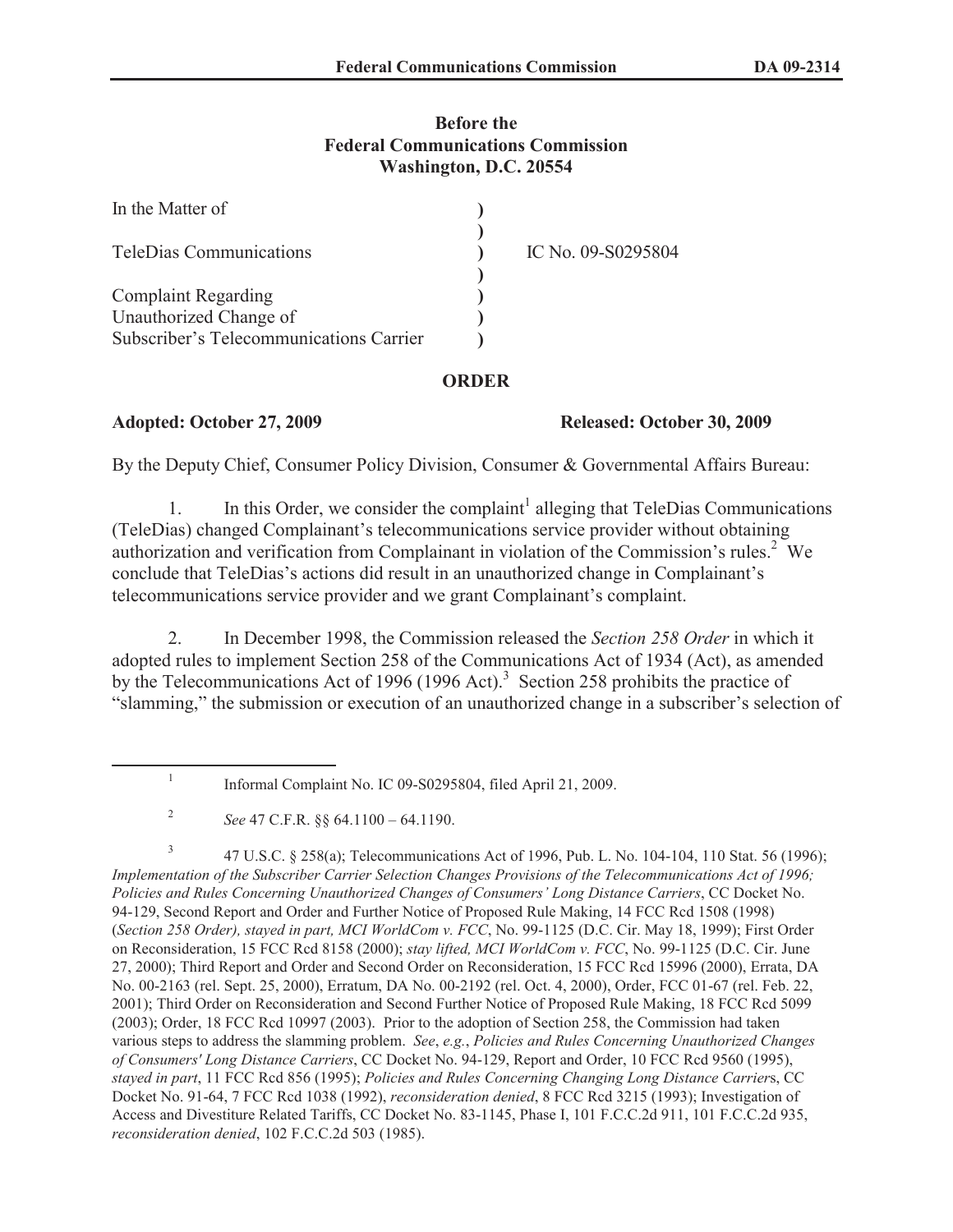# **Before the Federal Communications Commission Washington, D.C. 20554**

| In the Matter of                        |                    |
|-----------------------------------------|--------------------|
| TeleDias Communications                 | IC No. 09-S0295804 |
| <b>Complaint Regarding</b>              |                    |
| Unauthorized Change of                  |                    |
| Subscriber's Telecommunications Carrier |                    |

# **ORDER**

### **Adopted: October 27, 2009 Released: October 30, 2009**

By the Deputy Chief, Consumer Policy Division, Consumer & Governmental Affairs Bureau:

1. In this Order, we consider the complaint<sup>1</sup> alleging that TeleDias Communications (TeleDias) changed Complainant's telecommunications service provider without obtaining authorization and verification from Complainant in violation of the Commission's rules.<sup>2</sup> We conclude that TeleDias's actions did result in an unauthorized change in Complainant's telecommunications service provider and we grant Complainant's complaint.

2. In December 1998, the Commission released the *Section 258 Order* in which it adopted rules to implement Section 258 of the Communications Act of 1934 (Act), as amended by the Telecommunications Act of 1996 (1996 Act).<sup>3</sup> Section 258 prohibits the practice of "slamming," the submission or execution of an unauthorized change in a subscriber's selection of

3 47 U.S.C. § 258(a); Telecommunications Act of 1996, Pub. L. No. 104-104, 110 Stat. 56 (1996); *Implementation of the Subscriber Carrier Selection Changes Provisions of the Telecommunications Act of 1996; Policies and Rules Concerning Unauthorized Changes of Consumers' Long Distance Carriers*, CC Docket No. 94-129, Second Report and Order and Further Notice of Proposed Rule Making, 14 FCC Rcd 1508 (1998) (*Section 258 Order), stayed in part, MCI WorldCom v. FCC*, No. 99-1125 (D.C. Cir. May 18, 1999); First Order on Reconsideration, 15 FCC Rcd 8158 (2000); *stay lifted, MCI WorldCom v. FCC*, No. 99-1125 (D.C. Cir. June 27, 2000); Third Report and Order and Second Order on Reconsideration, 15 FCC Rcd 15996 (2000), Errata, DA No. 00-2163 (rel. Sept. 25, 2000), Erratum, DA No. 00-2192 (rel. Oct. 4, 2000), Order, FCC 01-67 (rel. Feb. 22, 2001); Third Order on Reconsideration and Second Further Notice of Proposed Rule Making, 18 FCC Rcd 5099 (2003); Order, 18 FCC Rcd 10997 (2003). Prior to the adoption of Section 258, the Commission had taken various steps to address the slamming problem. *See*, *e.g.*, *Policies and Rules Concerning Unauthorized Changes of Consumers' Long Distance Carriers*, CC Docket No. 94-129, Report and Order, 10 FCC Rcd 9560 (1995), *stayed in part*, 11 FCC Rcd 856 (1995); *Policies and Rules Concerning Changing Long Distance Carrier*s, CC Docket No. 91-64, 7 FCC Rcd 1038 (1992), *reconsideration denied*, 8 FCC Rcd 3215 (1993); Investigation of Access and Divestiture Related Tariffs, CC Docket No. 83-1145, Phase I, 101 F.C.C.2d 911, 101 F.C.C.2d 935, *reconsideration denied*, 102 F.C.C.2d 503 (1985).

<sup>1</sup> Informal Complaint No. IC 09-S0295804, filed April 21, 2009.

<sup>2</sup> *See* 47 C.F.R. §§ 64.1100 – 64.1190.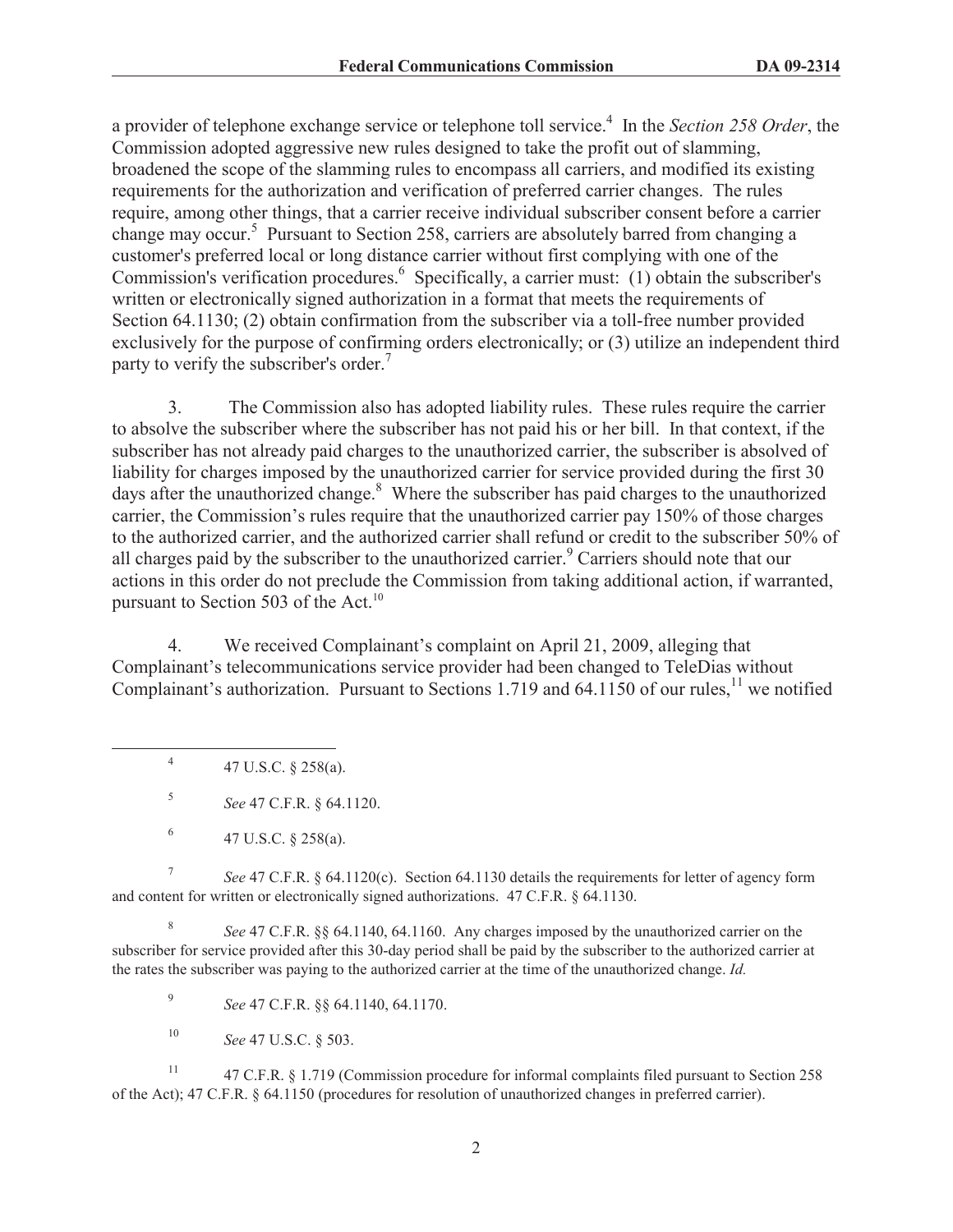a provider of telephone exchange service or telephone toll service.<sup>4</sup> In the *Section 258 Order*, the Commission adopted aggressive new rules designed to take the profit out of slamming, broadened the scope of the slamming rules to encompass all carriers, and modified its existing requirements for the authorization and verification of preferred carrier changes. The rules require, among other things, that a carrier receive individual subscriber consent before a carrier change may occur.<sup>5</sup> Pursuant to Section 258, carriers are absolutely barred from changing a customer's preferred local or long distance carrier without first complying with one of the Commission's verification procedures.<sup>6</sup> Specifically, a carrier must: (1) obtain the subscriber's written or electronically signed authorization in a format that meets the requirements of Section 64.1130; (2) obtain confirmation from the subscriber via a toll-free number provided exclusively for the purpose of confirming orders electronically; or (3) utilize an independent third party to verify the subscriber's order.<sup>7</sup>

3. The Commission also has adopted liability rules. These rules require the carrier to absolve the subscriber where the subscriber has not paid his or her bill. In that context, if the subscriber has not already paid charges to the unauthorized carrier, the subscriber is absolved of liability for charges imposed by the unauthorized carrier for service provided during the first 30 days after the unauthorized change.<sup>8</sup> Where the subscriber has paid charges to the unauthorized carrier, the Commission's rules require that the unauthorized carrier pay 150% of those charges to the authorized carrier, and the authorized carrier shall refund or credit to the subscriber 50% of all charges paid by the subscriber to the unauthorized carrier.<sup>9</sup> Carriers should note that our actions in this order do not preclude the Commission from taking additional action, if warranted, pursuant to Section 503 of the Act. $^{10}$ 

4. We received Complainant's complaint on April 21, 2009, alleging that Complainant's telecommunications service provider had been changed to TeleDias without Complainant's authorization. Pursuant to Sections 1.719 and 64.1150 of our rules,<sup>11</sup> we notified

4 47 U.S.C. § 258(a).

5 *See* 47 C.F.R. § 64.1120.

7 *See* 47 C.F.R. § 64.1120(c). Section 64.1130 details the requirements for letter of agency form and content for written or electronically signed authorizations. 47 C.F.R. § 64.1130.

8 *See* 47 C.F.R. §§ 64.1140, 64.1160. Any charges imposed by the unauthorized carrier on the subscriber for service provided after this 30-day period shall be paid by the subscriber to the authorized carrier at the rates the subscriber was paying to the authorized carrier at the time of the unauthorized change. *Id.*

9 *See* 47 C.F.R. §§ 64.1140, 64.1170.

<sup>10</sup> *See* 47 U.S.C. § 503.

<sup>11</sup> 47 C.F.R. § 1.719 (Commission procedure for informal complaints filed pursuant to Section 258 of the Act); 47 C.F.R. § 64.1150 (procedures for resolution of unauthorized changes in preferred carrier).

<sup>6</sup> 47 U.S.C. § 258(a).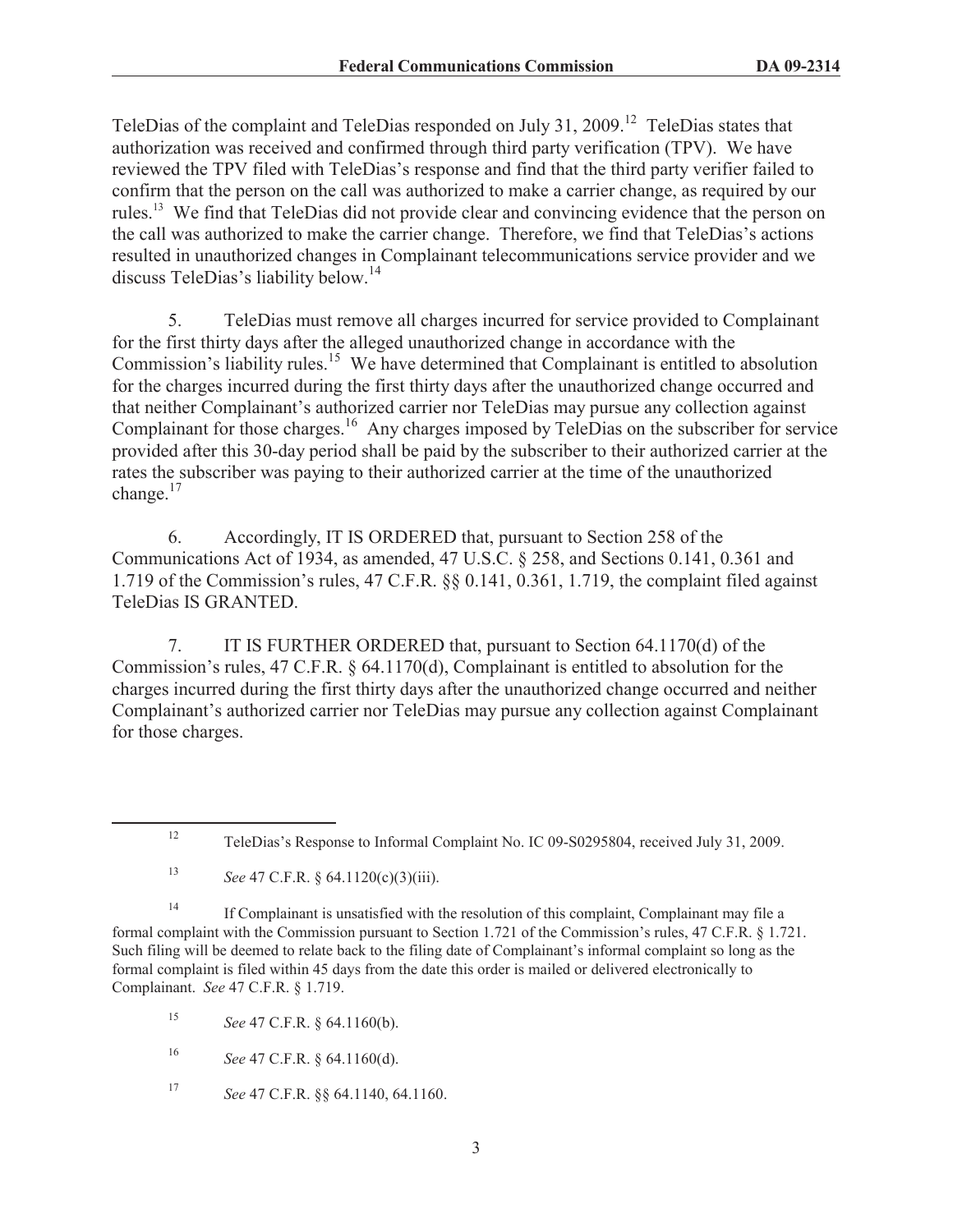TeleDias of the complaint and TeleDias responded on July 31, 2009.<sup>12</sup> TeleDias states that authorization was received and confirmed through third party verification (TPV). We have reviewed the TPV filed with TeleDias's response and find that the third party verifier failed to confirm that the person on the call was authorized to make a carrier change, as required by our rules.<sup>13</sup> We find that TeleDias did not provide clear and convincing evidence that the person on the call was authorized to make the carrier change. Therefore, we find that TeleDias's actions resulted in unauthorized changes in Complainant telecommunications service provider and we discuss TeleDias's liability below.<sup>14</sup>

5. TeleDias must remove all charges incurred for service provided to Complainant for the first thirty days after the alleged unauthorized change in accordance with the Commission's liability rules.<sup>15</sup> We have determined that Complainant is entitled to absolution for the charges incurred during the first thirty days after the unauthorized change occurred and that neither Complainant's authorized carrier nor TeleDias may pursue any collection against Complainant for those charges.<sup>16</sup> Any charges imposed by TeleDias on the subscriber for service provided after this 30-day period shall be paid by the subscriber to their authorized carrier at the rates the subscriber was paying to their authorized carrier at the time of the unauthorized change.<sup>17</sup>

6. Accordingly, IT IS ORDERED that, pursuant to Section 258 of the Communications Act of 1934, as amended, 47 U.S.C. § 258, and Sections 0.141, 0.361 and 1.719 of the Commission's rules, 47 C.F.R. §§ 0.141, 0.361, 1.719, the complaint filed against TeleDias IS GRANTED.

7. IT IS FURTHER ORDERED that, pursuant to Section 64.1170(d) of the Commission's rules, 47 C.F.R. § 64.1170(d), Complainant is entitled to absolution for the charges incurred during the first thirty days after the unauthorized change occurred and neither Complainant's authorized carrier nor TeleDias may pursue any collection against Complainant for those charges.

<sup>14</sup> If Complainant is unsatisfied with the resolution of this complaint, Complainant may file a formal complaint with the Commission pursuant to Section 1.721 of the Commission's rules, 47 C.F.R. § 1.721. Such filing will be deemed to relate back to the filing date of Complainant's informal complaint so long as the formal complaint is filed within 45 days from the date this order is mailed or delivered electronically to Complainant. *See* 47 C.F.R. § 1.719.

<sup>15</sup> *See* 47 C.F.R. § 64.1160(b).

<sup>16</sup> *See* 47 C.F.R. § 64.1160(d).

<sup>17</sup> *See* 47 C.F.R. §§ 64.1140, 64.1160.

<sup>12</sup> TeleDias's Response to Informal Complaint No. IC 09-S0295804, received July 31, 2009.

<sup>13</sup> *See* 47 C.F.R. § 64.1120(c)(3)(iii).